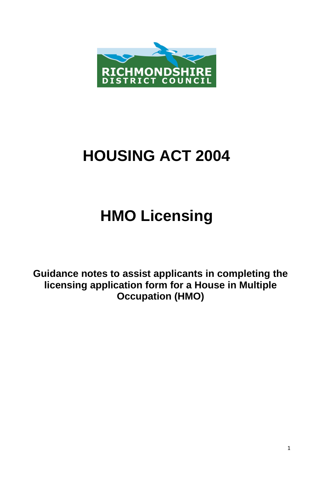

# **HOUSING ACT 2004**

# **HMO Licensing**

**Guidance notes to assist applicants in completing the licensing application form for a House in Multiple Occupation (HMO)**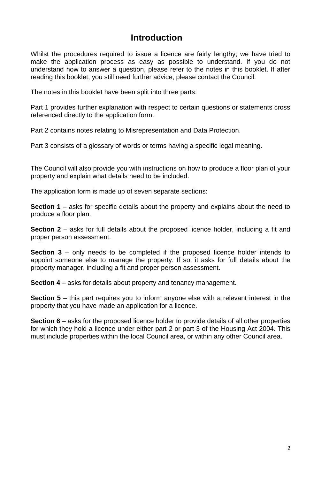# **Introduction**

Whilst the procedures required to issue a licence are fairly lengthy, we have tried to make the application process as easy as possible to understand. If you do not understand how to answer a question, please refer to the notes in this booklet. If after reading this booklet, you still need further advice, please contact the Council.

The notes in this booklet have been split into three parts:

Part 1 provides further explanation with respect to certain questions or statements cross referenced directly to the application form.

Part 2 contains notes relating to Misrepresentation and Data Protection.

Part 3 consists of a glossary of words or terms having a specific legal meaning.

The Council will also provide you with instructions on how to produce a floor plan of your property and explain what details need to be included.

The application form is made up of seven separate sections:

**Section 1** – asks for specific details about the property and explains about the need to produce a floor plan.

**Section 2** – asks for full details about the proposed licence holder, including a fit and proper person assessment.

**Section 3** – only needs to be completed if the proposed licence holder intends to appoint someone else to manage the property. If so, it asks for full details about the property manager, including a fit and proper person assessment.

**Section 4** – asks for details about property and tenancy management.

**Section 5** – this part requires you to inform anyone else with a relevant interest in the property that you have made an application for a licence.

**Section 6** – asks for the proposed licence holder to provide details of all other properties for which they hold a licence under either part 2 or part 3 of the Housing Act 2004. This must include properties within the local Council area, or within any other Council area.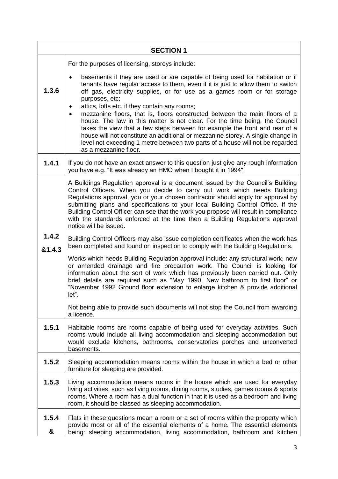| <b>SECTION 1</b> |                                                                                                                                                                                                                                                                                                                                                                                                                                                                                                                                                                                                                                                                                                                                                              |  |
|------------------|--------------------------------------------------------------------------------------------------------------------------------------------------------------------------------------------------------------------------------------------------------------------------------------------------------------------------------------------------------------------------------------------------------------------------------------------------------------------------------------------------------------------------------------------------------------------------------------------------------------------------------------------------------------------------------------------------------------------------------------------------------------|--|
|                  | For the purposes of licensing, storeys include:                                                                                                                                                                                                                                                                                                                                                                                                                                                                                                                                                                                                                                                                                                              |  |
| 1.3.6            | basements if they are used or are capable of being used for habitation or if<br>٠<br>tenants have regular access to them, even if it is just to allow them to switch<br>off gas, electricity supplies, or for use as a games room or for storage<br>purposes, etc;<br>attics, lofts etc. if they contain any rooms;<br>mezzanine floors, that is, floors constructed between the main floors of a<br>house. The law in this matter is not clear. For the time being, the Council<br>takes the view that a few steps between for example the front and rear of a<br>house will not constitute an additional or mezzanine storey. A single change in<br>level not exceeding 1 metre between two parts of a house will not be regarded<br>as a mezzanine floor. |  |
| 1.4.1            | If you do not have an exact answer to this question just give any rough information<br>you have e.g. "It was already an HMO when I bought it in 1994".                                                                                                                                                                                                                                                                                                                                                                                                                                                                                                                                                                                                       |  |
|                  | A Buildings Regulation approval is a document issued by the Council's Building<br>Control Officers. When you decide to carry out work which needs Building<br>Regulations approval, you or your chosen contractor should apply for approval by<br>submitting plans and specifications to your local Building Control Office. If the<br>Building Control Officer can see that the work you propose will result in compliance<br>with the standards enforced at the time then a Building Regulations approval<br>notice will be issued.                                                                                                                                                                                                                        |  |
| 1.4.2<br>&1.4.3  | Building Control Officers may also issue completion certificates when the work has<br>been completed and found on inspection to comply with the Building Regulations.                                                                                                                                                                                                                                                                                                                                                                                                                                                                                                                                                                                        |  |
|                  | Works which needs Building Regulation approval include: any structural work, new<br>or amended drainage and fire precaution work. The Council is looking for<br>information about the sort of work which has previously been carried out. Only<br>brief details are required such as "May 1990, New bathroom to first floor" or<br>"November 1992 Ground floor extension to enlarge kitchen & provide additional<br>let"                                                                                                                                                                                                                                                                                                                                     |  |
|                  | Not being able to provide such documents will not stop the Council from awarding<br>a licence.                                                                                                                                                                                                                                                                                                                                                                                                                                                                                                                                                                                                                                                               |  |
| 1.5.1            | Habitable rooms are rooms capable of being used for everyday activities. Such<br>rooms would include all living accommodation and sleeping accommodation but<br>would exclude kitchens, bathrooms, conservatories porches and unconverted<br>basements.                                                                                                                                                                                                                                                                                                                                                                                                                                                                                                      |  |
| 1.5.2            | Sleeping accommodation means rooms within the house in which a bed or other<br>furniture for sleeping are provided.                                                                                                                                                                                                                                                                                                                                                                                                                                                                                                                                                                                                                                          |  |
| 1.5.3            | Living accommodation means rooms in the house which are used for everyday<br>living activities, such as living rooms, dining rooms, studies, games rooms & sports<br>rooms. Where a room has a dual function in that it is used as a bedroom and living<br>room, it should be classed as sleeping accommodation.                                                                                                                                                                                                                                                                                                                                                                                                                                             |  |
| 1.5.4<br>&       | Flats in these questions mean a room or a set of rooms within the property which<br>provide most or all of the essential elements of a home. The essential elements<br>being: sleeping accommodation, living accommodation, bathroom and kitchen                                                                                                                                                                                                                                                                                                                                                                                                                                                                                                             |  |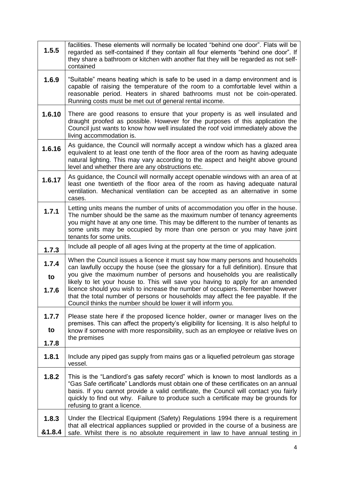| 1.5.5                | facilities. These elements will normally be located "behind one door". Flats will be<br>regarded as self-contained if they contain all four elements "behind one door". If<br>they share a bathroom or kitchen with another flat they will be regarded as not self-<br>contained                                                                                                                                                                                                                                                                                             |
|----------------------|------------------------------------------------------------------------------------------------------------------------------------------------------------------------------------------------------------------------------------------------------------------------------------------------------------------------------------------------------------------------------------------------------------------------------------------------------------------------------------------------------------------------------------------------------------------------------|
| 1.6.9                | "Suitable" means heating which is safe to be used in a damp environment and is<br>capable of raising the temperature of the room to a comfortable level within a<br>reasonable period. Heaters in shared bathrooms must not be coin-operated.<br>Running costs must be met out of general rental income.                                                                                                                                                                                                                                                                     |
| 1.6.10               | There are good reasons to ensure that your property is as well insulated and<br>draught proofed as possible. However for the purposes of this application the<br>Council just wants to know how well insulated the roof void immediately above the<br>living accommodation is.                                                                                                                                                                                                                                                                                               |
| 1.6.16               | As guidance, the Council will normally accept a window which has a glazed area<br>equivalent to at least one tenth of the floor area of the room as having adequate<br>natural lighting. This may vary according to the aspect and height above ground<br>level and whether there are any obstructions etc.                                                                                                                                                                                                                                                                  |
| 1.6.17               | As guidance, the Council will normally accept openable windows with an area of at<br>least one twentieth of the floor area of the room as having adequate natural<br>ventilation. Mechanical ventilation can be accepted as an alternative in some<br>cases.                                                                                                                                                                                                                                                                                                                 |
| 1.7.1                | Letting units means the number of units of accommodation you offer in the house.<br>The number should be the same as the maximum number of tenancy agreements<br>you might have at any one time. This may be different to the number of tenants as<br>some units may be occupied by more than one person or you may have joint<br>tenants for some units.                                                                                                                                                                                                                    |
| 1.7.3                | Include all people of all ages living at the property at the time of application.                                                                                                                                                                                                                                                                                                                                                                                                                                                                                            |
| 1.7.4<br>to<br>1.7.6 | When the Council issues a licence it must say how many persons and households<br>can lawfully occupy the house (see the glossary for a full definition). Ensure that<br>you give the maximum number of persons and households you are realistically<br>likely to let your house to. This will save you having to apply for an amended<br>licence should you wish to increase the number of occupiers. Remember however<br>that the total number of persons or households may affect the fee payable. If the<br>Council thinks the number should be lower it will inform you. |
| 1.7.7<br>to<br>1.7.8 | Please state here if the proposed licence holder, owner or manager lives on the<br>premises. This can affect the property's eligibility for licensing. It is also helpful to<br>know if someone with more responsibility, such as an employee or relative lives on<br>the premises                                                                                                                                                                                                                                                                                           |
| 1.8.1                | Include any piped gas supply from mains gas or a liquefied petroleum gas storage<br>vessel.                                                                                                                                                                                                                                                                                                                                                                                                                                                                                  |
| 1.8.2                | This is the "Landlord's gas safety record" which is known to most landlords as a<br>"Gas Safe certificate" Landlords must obtain one of these certificates on an annual<br>basis. If you cannot provide a valid certificate, the Council will contact you fairly<br>quickly to find out why. Failure to produce such a certificate may be grounds for<br>refusing to grant a licence.                                                                                                                                                                                        |
| 1.8.3<br>&1.8.4      | Under the Electrical Equipment (Safety) Regulations 1994 there is a requirement<br>that all electrical appliances supplied or provided in the course of a business are<br>safe. Whilst there is no absolute requirement in law to have annual testing in                                                                                                                                                                                                                                                                                                                     |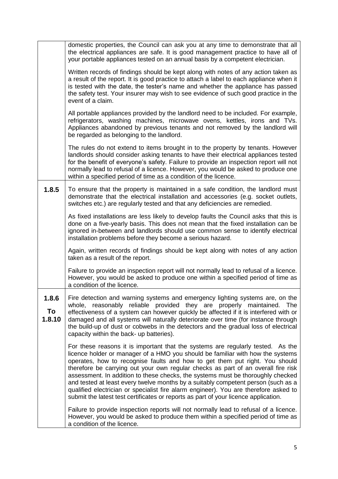|                       | domestic properties, the Council can ask you at any time to demonstrate that all<br>the electrical appliances are safe. It is good management practice to have all of<br>your portable appliances tested on an annual basis by a competent electrician.                                                                                                                                                                                                                                                                                                                                                                                                                                      |
|-----------------------|----------------------------------------------------------------------------------------------------------------------------------------------------------------------------------------------------------------------------------------------------------------------------------------------------------------------------------------------------------------------------------------------------------------------------------------------------------------------------------------------------------------------------------------------------------------------------------------------------------------------------------------------------------------------------------------------|
|                       | Written records of findings should be kept along with notes of any action taken as<br>a result of the report. It is good practice to attach a label to each appliance when it<br>is tested with the date, the tester's name and whether the appliance has passed<br>the safety test. Your insurer may wish to see evidence of such good practice in the<br>event of a claim.                                                                                                                                                                                                                                                                                                                 |
|                       | All portable appliances provided by the landlord need to be included. For example,<br>refrigerators, washing machines, microwave ovens, kettles, irons and TVs.<br>Appliances abandoned by previous tenants and not removed by the landlord will<br>be regarded as belonging to the landlord.                                                                                                                                                                                                                                                                                                                                                                                                |
|                       | The rules do not extend to items brought in to the property by tenants. However<br>landlords should consider asking tenants to have their electrical appliances tested<br>for the benefit of everyone's safety. Failure to provide an inspection report will not<br>normally lead to refusal of a licence. However, you would be asked to produce one<br>within a specified period of time as a condition of the licence.                                                                                                                                                                                                                                                                    |
| 1.8.5                 | To ensure that the property is maintained in a safe condition, the landlord must<br>demonstrate that the electrical installation and accessories (e.g. socket outlets,<br>switches etc.) are regularly tested and that any deficiencies are remedied.                                                                                                                                                                                                                                                                                                                                                                                                                                        |
|                       | As fixed installations are less likely to develop faults the Council asks that this is<br>done on a five-yearly basis. This does not mean that the fixed installation can be<br>ignored in-between and landlords should use common sense to identify electrical<br>installation problems before they become a serious hazard.                                                                                                                                                                                                                                                                                                                                                                |
|                       | Again, written records of findings should be kept along with notes of any action<br>taken as a result of the report.                                                                                                                                                                                                                                                                                                                                                                                                                                                                                                                                                                         |
|                       | Failure to provide an inspection report will not normally lead to refusal of a licence.<br>However, you would be asked to produce one within a specified period of time as<br>a condition of the licence.                                                                                                                                                                                                                                                                                                                                                                                                                                                                                    |
| 1.8.6<br>To<br>1.8.10 | Fire detection and warning systems and emergency lighting systems are, on the<br>whole, reasonably reliable provided they are properly maintained.<br>The<br>effectiveness of a system can however quickly be affected if it is interfered with or<br>damaged and all systems will naturally deteriorate over time (for instance through<br>the build-up of dust or cobwebs in the detectors and the gradual loss of electrical<br>capacity within the back- up batteries).                                                                                                                                                                                                                  |
|                       | For these reasons it is important that the systems are regularly tested. As the<br>licence holder or manager of a HMO you should be familiar with how the systems<br>operates, how to recognise faults and how to get them put right. You should<br>therefore be carrying out your own regular checks as part of an overall fire risk<br>assessment. In addition to these checks, the systems must be thoroughly checked<br>and tested at least every twelve months by a suitably competent person (such as a<br>qualified electrician or specialist fire alarm engineer). You are therefore asked to<br>submit the latest test certificates or reports as part of your licence application. |
|                       | Failure to provide inspection reports will not normally lead to refusal of a licence.<br>However, you would be asked to produce them within a specified period of time as<br>a condition of the licence.                                                                                                                                                                                                                                                                                                                                                                                                                                                                                     |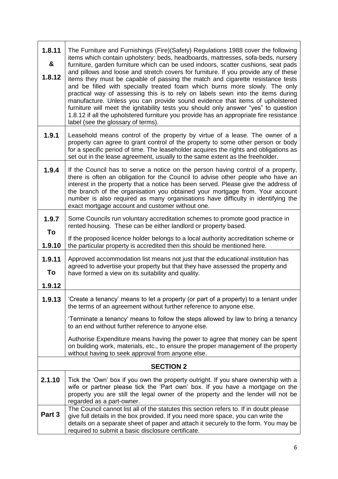| 1.8.11<br>&<br>1.8.12 | The Furniture and Furnishings (Fire)(Safety) Regulations 1988 cover the following<br>items which contain upholstery: beds, headboards, mattresses, sofa-beds, nursery<br>furniture, garden furniture which can be used indoors, scatter cushions, seat pads<br>and pillows and loose and stretch covers for furniture. If you provide any of these<br>items they must be capable of passing the match and cigarette resistance tests<br>and be filled with specially treated foam which burns more slowly. The only<br>practical way of assessing this is to rely on labels sewn into the items during<br>manufacture. Unless you can provide sound evidence that items of upholstered<br>furniture will meet the ignitability tests you should only answer "yes" to question<br>1.8.12 if all the upholstered furniture you provide has an appropriate fire resistance<br>label (see the glossary of terms). |
|-----------------------|---------------------------------------------------------------------------------------------------------------------------------------------------------------------------------------------------------------------------------------------------------------------------------------------------------------------------------------------------------------------------------------------------------------------------------------------------------------------------------------------------------------------------------------------------------------------------------------------------------------------------------------------------------------------------------------------------------------------------------------------------------------------------------------------------------------------------------------------------------------------------------------------------------------|
| 1.9.1                 | Leasehold means control of the property by virtue of a lease. The owner of a<br>property can agree to grant control of the property to some other person or body<br>for a specific period of time. The leaseholder acquires the rights and obligations as<br>set out in the lease agreement, usually to the same extent as the freeholder.                                                                                                                                                                                                                                                                                                                                                                                                                                                                                                                                                                    |
| 1.9.4                 | If the Council has to serve a notice on the person having control of a property,<br>there is often an obligation for the Council to advise other people who have an<br>interest in the property that a notice has been served. Please give the address of<br>the branch of the organisation you obtained your mortgage from. Your account<br>number is also required as many organisations have difficulty in identifying the<br>exact mortgage account and customer without one.                                                                                                                                                                                                                                                                                                                                                                                                                             |
| 1.9.7<br>To           | Some Councils run voluntary accreditation schemes to promote good practice in<br>rented housing. These can be either landlord or property based.                                                                                                                                                                                                                                                                                                                                                                                                                                                                                                                                                                                                                                                                                                                                                              |
| 1.9.10                | If the proposed licence holder belongs to a local authority accreditation scheme or<br>the particular property is accredited then this should be mentioned here.                                                                                                                                                                                                                                                                                                                                                                                                                                                                                                                                                                                                                                                                                                                                              |
| 1.9.11<br>To          | Approved accommodation list means not just that the educational institution has<br>agreed to advertise your property but that they have assessed the property and<br>have formed a view on its suitability and quality.                                                                                                                                                                                                                                                                                                                                                                                                                                                                                                                                                                                                                                                                                       |
| 1.9.12                |                                                                                                                                                                                                                                                                                                                                                                                                                                                                                                                                                                                                                                                                                                                                                                                                                                                                                                               |
| 1.9.13                | 'Create a tenancy' means to let a property (or part of a property) to a tenant under<br>the terms of an agreement without further reference to anyone else.                                                                                                                                                                                                                                                                                                                                                                                                                                                                                                                                                                                                                                                                                                                                                   |
|                       | 'Terminate a tenancy' means to follow the steps allowed by law to bring a tenancy<br>to an end without further reference to anyone else.                                                                                                                                                                                                                                                                                                                                                                                                                                                                                                                                                                                                                                                                                                                                                                      |
|                       | Authorise Expenditure means having the power to agree that money can be spent<br>on building work, materials, etc., to ensure the proper management of the property<br>without having to seek approval from anyone else.                                                                                                                                                                                                                                                                                                                                                                                                                                                                                                                                                                                                                                                                                      |
| <b>SECTION 2</b>      |                                                                                                                                                                                                                                                                                                                                                                                                                                                                                                                                                                                                                                                                                                                                                                                                                                                                                                               |
| 2.1.10                | Tick the 'Own' box if you own the property outright. If you share ownership with a<br>wife or partner please tick the 'Part own' box. If you have a mortgage on the<br>property you are still the legal owner of the property and the lender will not be<br>regarded as a part-owner.                                                                                                                                                                                                                                                                                                                                                                                                                                                                                                                                                                                                                         |
| Part 3                | The Council cannot list all of the statutes this section refers to. If in doubt please<br>give full details in the box provided. If you need more space, you can write the<br>details on a separate sheet of paper and attach it securely to the form. You may be<br>required to submit a basic disclosure certificate.                                                                                                                                                                                                                                                                                                                                                                                                                                                                                                                                                                                       |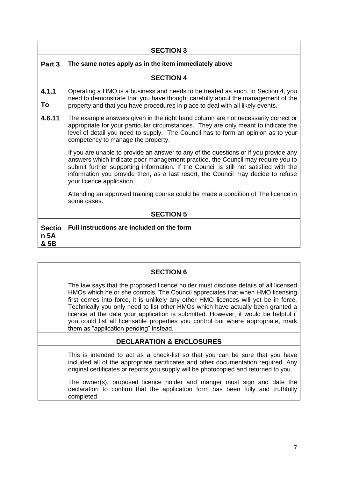| <b>SECTION 3</b>              |                                                                                                                                                                                                                                                                                                                                                                                   |  |
|-------------------------------|-----------------------------------------------------------------------------------------------------------------------------------------------------------------------------------------------------------------------------------------------------------------------------------------------------------------------------------------------------------------------------------|--|
| Part 3                        | The same notes apply as in the item immediately above                                                                                                                                                                                                                                                                                                                             |  |
|                               | <b>SECTION 4</b>                                                                                                                                                                                                                                                                                                                                                                  |  |
| 4.1.1<br>To                   | Operating a HMO is a business and needs to be treated as such. In Section 4, you<br>need to demonstrate that you have thought carefully about the management of the<br>property and that you have procedures in place to deal with all likely events.                                                                                                                             |  |
| 4.6.11                        | The example answers given in the right hand column are not necessarily correct or<br>appropriate for your particular circumstances. They are only meant to indicate the<br>level of detail you need to supply. The Council has to form an opinion as to your<br>competency to manage the property.                                                                                |  |
|                               | If you are unable to provide an answer to any of the questions or if you provide any<br>answers which indicate poor management practice, the Council may require you to<br>submit further supporting information. If the Council is still not satisfied with the<br>information you provide then, as a last resort, the Council may decide to refuse<br>your licence application. |  |
|                               | Attending an approved training course could be made a condition of The licence in<br>some cases.                                                                                                                                                                                                                                                                                  |  |
| <b>SECTION 5</b>              |                                                                                                                                                                                                                                                                                                                                                                                   |  |
| <b>Sectio</b><br>n 5A<br>& 5B | Full instructions are included on the form                                                                                                                                                                                                                                                                                                                                        |  |

| <b>SECTION 6</b>                    |                                                                                                                                                                                                                                                                                                                                                                                                                                                                                                                                                                     |  |
|-------------------------------------|---------------------------------------------------------------------------------------------------------------------------------------------------------------------------------------------------------------------------------------------------------------------------------------------------------------------------------------------------------------------------------------------------------------------------------------------------------------------------------------------------------------------------------------------------------------------|--|
|                                     | The law says that the proposed licence holder must disclose details of all licensed<br>HMOs which he or she controls. The Council appreciates that when HMO licensing<br>first comes into force, it is unlikely any other HMO licences will yet be in force.<br>Technically you only need to list other HMOs which have actually been granted a<br>licence at the date your application is submitted. However, it would be helpful if<br>you could list all licensable properties you control but where appropriate, mark<br>them as "application pending" instead. |  |
| <b>DECLARATION &amp; ENCLOSURES</b> |                                                                                                                                                                                                                                                                                                                                                                                                                                                                                                                                                                     |  |
|                                     | This is intended to act as a check-list so that you can be sure that you have<br>included all of the appropriate certificates and other documentation required. Any<br>original certificates or reports you supply will be photocopied and returned to you.                                                                                                                                                                                                                                                                                                         |  |
|                                     | The owner(s), proposed licence holder and manger must sign and date the<br>declaration to confirm that the application form has been fully and truthfully<br>completed                                                                                                                                                                                                                                                                                                                                                                                              |  |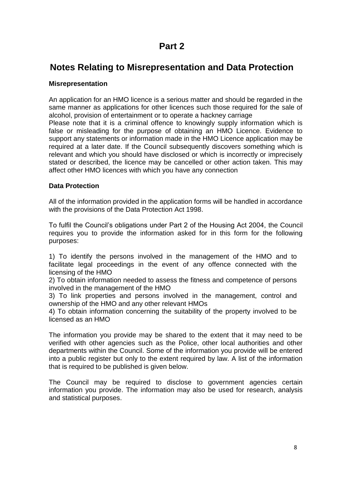# **Part 2**

# **Notes Relating to Misrepresentation and Data Protection**

# **Misrepresentation**

An application for an HMO licence is a serious matter and should be regarded in the same manner as applications for other licences such those required for the sale of alcohol, provision of entertainment or to operate a hackney carriage Please note that it is a criminal offence to knowingly supply information which is false or misleading for the purpose of obtaining an HMO Licence. Evidence to support any statements or information made in the HMO Licence application may be required at a later date. If the Council subsequently discovers something which is relevant and which you should have disclosed or which is incorrectly or imprecisely stated or described, the licence may be cancelled or other action taken. This may affect other HMO licences with which you have any connection

# **Data Protection**

All of the information provided in the application forms will be handled in accordance with the provisions of the Data Protection Act 1998.

To fulfil the Council's obligations under Part 2 of the Housing Act 2004, the Council requires you to provide the information asked for in this form for the following purposes:

1) To identify the persons involved in the management of the HMO and to facilitate legal proceedings in the event of any offence connected with the licensing of the HMO

2) To obtain information needed to assess the fitness and competence of persons involved in the management of the HMO

3) To link properties and persons involved in the management, control and ownership of the HMO and any other relevant HMOs

4) To obtain information concerning the suitability of the property involved to be licensed as an HMO

The information you provide may be shared to the extent that it may need to be verified with other agencies such as the Police, other local authorities and other departments within the Council. Some of the information you provide will be entered into a public register but only to the extent required by law. A list of the information that is required to be published is given below.

The Council may be required to disclose to government agencies certain information you provide. The information may also be used for research, analysis and statistical purposes.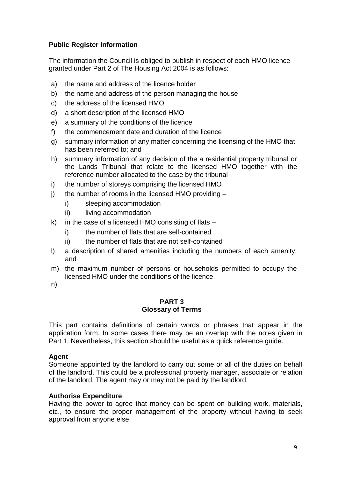# **Public Register Information**

The information the Council is obliged to publish in respect of each HMO licence granted under Part 2 of The Housing Act 2004 is as follows:

- a) the name and address of the licence holder
- b) the name and address of the person managing the house
- c) the address of the licensed HMO
- d) a short description of the licensed HMO
- e) a summary of the conditions of the licence
- f) the commencement date and duration of the licence
- g) summary information of any matter concerning the licensing of the HMO that has been referred to; and
- h) summary information of any decision of the a residential property tribunal or the Lands Tribunal that relate to the licensed HMO together with the reference number allocated to the case by the tribunal
- i) the number of storeys comprising the licensed HMO
- j) the number of rooms in the licensed HMO providing  $$ 
	- i) sleeping accommodation
	- ii) living accommodation
- k) in the case of a licensed HMO consisting of flats
	- i) the number of flats that are self-contained
	- ii) the number of flats that are not self-contained
- l) a description of shared amenities including the numbers of each amenity; and
- m) the maximum number of persons or households permitted to occupy the licensed HMO under the conditions of the licence.
- n)

#### **PART 3 Glossary of Terms**

This part contains definitions of certain words or phrases that appear in the application form. In some cases there may be an overlap with the notes given in Part 1. Nevertheless, this section should be useful as a quick reference guide.

# **Agent**

Someone appointed by the landlord to carry out some or all of the duties on behalf of the landlord. This could be a professional property manager, associate or relation of the landlord. The agent may or may not be paid by the landlord.

# **Authorise Expenditure**

Having the power to agree that money can be spent on building work, materials, etc., to ensure the proper management of the property without having to seek approval from anyone else.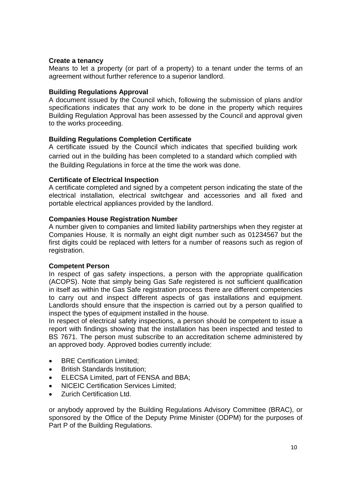# **Create a tenancy**

Means to let a property (or part of a property) to a tenant under the terms of an agreement without further reference to a superior landlord.

# **Building Regulations Approval**

A document issued by the Council which, following the submission of plans and/or specifications indicates that any work to be done in the property which requires Building Regulation Approval has been assessed by the Council and approval given to the works proceeding.

# **Building Regulations Completion Certificate**

A certificate issued by the Council which indicates that specified building work carried out in the building has been completed to a standard which complied with the Building Regulations in force at the time the work was done.

# **Certificate of Electrical Inspection**

A certificate completed and signed by a competent person indicating the state of the electrical installation, electrical switchgear and accessories and all fixed and portable electrical appliances provided by the landlord.

# **Companies House Registration Number**

A number given to companies and limited liability partnerships when they register at Companies House. It is normally an eight digit number such as 01234567 but the first digits could be replaced with letters for a number of reasons such as region of registration.

# **Competent Person**

In respect of gas safety inspections, a person with the appropriate qualification (ACOPS). Note that simply being Gas Safe registered is not sufficient qualification in itself as within the Gas Safe registration process there are different competencies to carry out and inspect different aspects of gas installations and equipment. Landlords should ensure that the inspection is carried out by a person qualified to inspect the types of equipment installed in the house.

In respect of electrical safety inspections, a person should be competent to issue a report with findings showing that the installation has been inspected and tested to BS 7671. The person must subscribe to an accreditation scheme administered by an approved body. Approved bodies currently include:

- BRE Certification Limited:
- British Standards Institution;
- **ELECSA Limited, part of FENSA and BBA:**
- NICEIC Certification Services Limited;
- Zurich Certification Ltd.

or anybody approved by the Building Regulations Advisory Committee (BRAC), or sponsored by the Office of the Deputy Prime Minister (ODPM) for the purposes of Part P of the Building Regulations.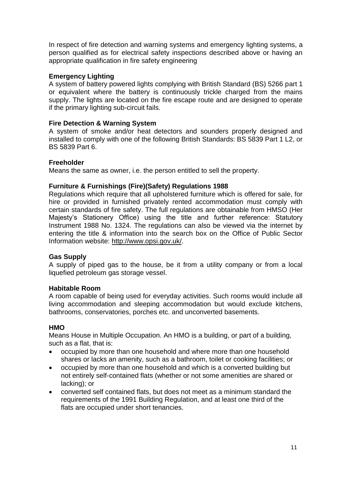In respect of fire detection and warning systems and emergency lighting systems, a person qualified as for electrical safety inspections described above or having an appropriate qualification in fire safety engineering

# **Emergency Lighting**

A system of battery powered lights complying with British Standard (BS) 5266 part 1 or equivalent where the battery is continuously trickle charged from the mains supply. The lights are located on the fire escape route and are designed to operate if the primary lighting sub-circuit fails.

# **Fire Detection & Warning System**

A system of smoke and/or heat detectors and sounders properly designed and installed to comply with one of the following British Standards: BS 5839 Part 1 L2, or BS 5839 Part 6.

# **Freeholder**

Means the same as owner, i.e. the person entitled to sell the property.

# **Furniture & Furnishings (Fire)(Safety) Regulations 1988**

Regulations which require that all upholstered furniture which is offered for sale, for hire or provided in furnished privately rented accommodation must comply with certain standards of fire safety. The full regulations are obtainable from HMSO (Her Majesty's Stationery Office) using the title and further reference: Statutory Instrument 1988 No. 1324. The regulations can also be viewed via the internet by entering the title & information into the search box on the Office of Public Sector Information website: http://www.opsi.gov.uk/.

# **Gas Supply**

A supply of piped gas to the house, be it from a utility company or from a local liquefied petroleum gas storage vessel.

# **Habitable Room**

A room capable of being used for everyday activities. Such rooms would include all living accommodation and sleeping accommodation but would exclude kitchens, bathrooms, conservatories, porches etc. and unconverted basements.

# **HMO**

Means House in Multiple Occupation. An HMO is a building, or part of a building, such as a flat, that is:

- occupied by more than one household and where more than one household shares or lacks an amenity, such as a bathroom, toilet or cooking facilities; or
- occupied by more than one household and which is a converted building but not entirely self-contained flats (whether or not some amenities are shared or lacking); or
- converted self contained flats, but does not meet as a minimum standard the requirements of the 1991 Building Regulation, and at least one third of the flats are occupied under short tenancies.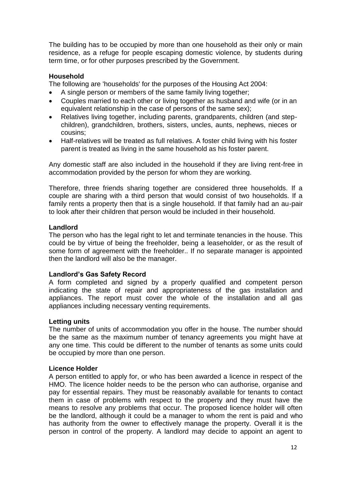The building has to be occupied by more than one household as their only or main residence, as a refuge for people escaping domestic violence, by students during term time, or for other purposes prescribed by the Government.

# **Household**

The following are 'households' for the purposes of the Housing Act 2004:

- A single person or members of the same family living together;
- Couples married to each other or living together as husband and wife (or in an equivalent relationship in the case of persons of the same sex);
- Relatives living together, including parents, grandparents, children (and stepchildren), grandchildren, brothers, sisters, uncles, aunts, nephews, nieces or cousins;
- Half-relatives will be treated as full relatives. A foster child living with his foster parent is treated as living in the same household as his foster parent.

Any domestic staff are also included in the household if they are living rent-free in accommodation provided by the person for whom they are working.

Therefore, three friends sharing together are considered three households. If a couple are sharing with a third person that would consist of two households. If a family rents a property then that is a single household. If that family had an au-pair to look after their children that person would be included in their household.

# **Landlord**

The person who has the legal right to let and terminate tenancies in the house. This could be by virtue of being the freeholder, being a leaseholder, or as the result of some form of agreement with the freeholder.. If no separate manager is appointed then the landlord will also be the manager.

# **Landlord's Gas Safety Record**

A form completed and signed by a properly qualified and competent person indicating the state of repair and appropriateness of the gas installation and appliances. The report must cover the whole of the installation and all gas appliances including necessary venting requirements.

# **Letting units**

The number of units of accommodation you offer in the house. The number should be the same as the maximum number of tenancy agreements you might have at any one time. This could be different to the number of tenants as some units could be occupied by more than one person.

# **Licence Holder**

A person entitled to apply for, or who has been awarded a licence in respect of the HMO. The licence holder needs to be the person who can authorise, organise and pay for essential repairs. They must be reasonably available for tenants to contact them in case of problems with respect to the property and they must have the means to resolve any problems that occur. The proposed licence holder will often be the landlord, although it could be a manager to whom the rent is paid and who has authority from the owner to effectively manage the property. Overall it is the person in control of the property. A landlord may decide to appoint an agent to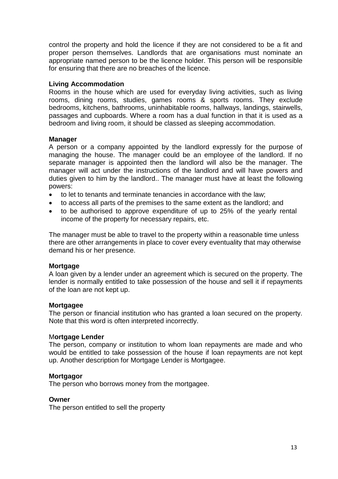control the property and hold the licence if they are not considered to be a fit and proper person themselves. Landlords that are organisations must nominate an appropriate named person to be the licence holder. This person will be responsible for ensuring that there are no breaches of the licence.

# **Living Accommodation**

Rooms in the house which are used for everyday living activities, such as living rooms, dining rooms, studies, games rooms & sports rooms. They exclude bedrooms, kitchens, bathrooms, uninhabitable rooms, hallways, landings, stairwells, passages and cupboards. Where a room has a dual function in that it is used as a bedroom and living room, it should be classed as sleeping accommodation.

# **Manager**

A person or a company appointed by the landlord expressly for the purpose of managing the house. The manager could be an employee of the landlord. If no separate manager is appointed then the landlord will also be the manager. The manager will act under the instructions of the landlord and will have powers and duties given to him by the landlord.. The manager must have at least the following powers:

- to let to tenants and terminate tenancies in accordance with the law;
- to access all parts of the premises to the same extent as the landlord; and
- to be authorised to approve expenditure of up to 25% of the yearly rental income of the property for necessary repairs, etc.

The manager must be able to travel to the property within a reasonable time unless there are other arrangements in place to cover every eventuality that may otherwise demand his or her presence.

# **Mortgage**

A loan given by a lender under an agreement which is secured on the property. The lender is normally entitled to take possession of the house and sell it if repayments of the loan are not kept up.

# **Mortgagee**

The person or financial institution who has granted a loan secured on the property. Note that this word is often interpreted incorrectly.

# M**ortgage Lender**

The person, company or institution to whom loan repayments are made and who would be entitled to take possession of the house if loan repayments are not kept up. Another description for Mortgage Lender is Mortgagee.

# **Mortgagor**

The person who borrows money from the mortgagee.

#### **Owner**

The person entitled to sell the property